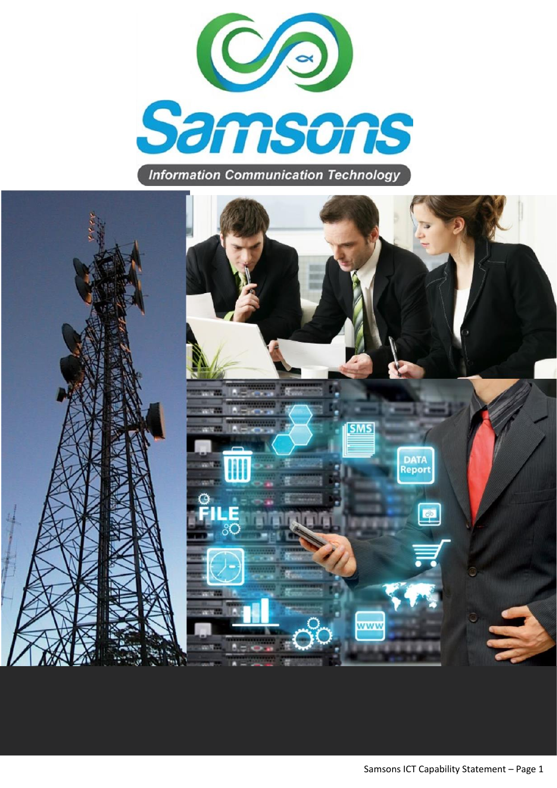

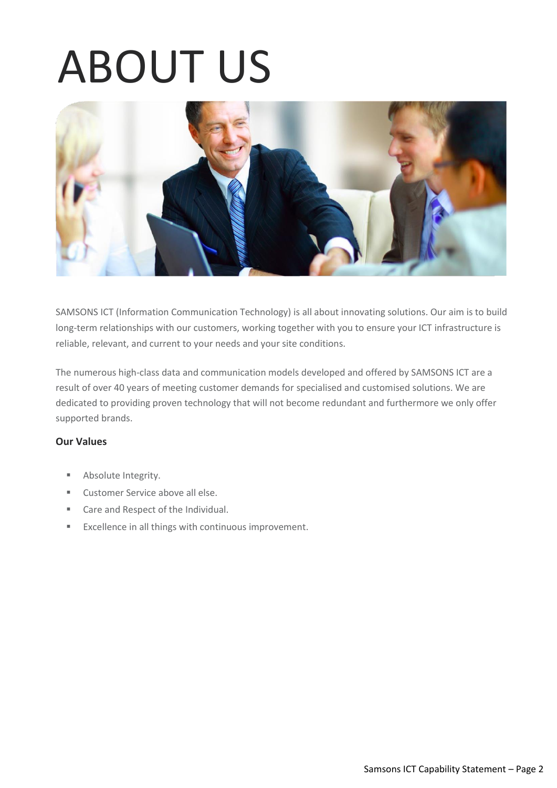### ABOUT US



SAMSONS ICT (Information Communication Technology) is all about innovating solutions. Our aim is to build long-term relationships with our customers, working together with you to ensure your ICT infrastructure is reliable, relevant, and current to your needs and your site conditions.

The numerous high-class data and communication models developed and offered by SAMSONS ICT are a result of over 40 years of meeting customer demands for specialised and customised solutions. We are dedicated to providing proven technology that will not become redundant and furthermore we only offer supported brands.

### **Our Values**

- Absolute Integrity.
- Customer Service above all else.
- Care and Respect of the Individual.
- Excellence in all things with continuous improvement.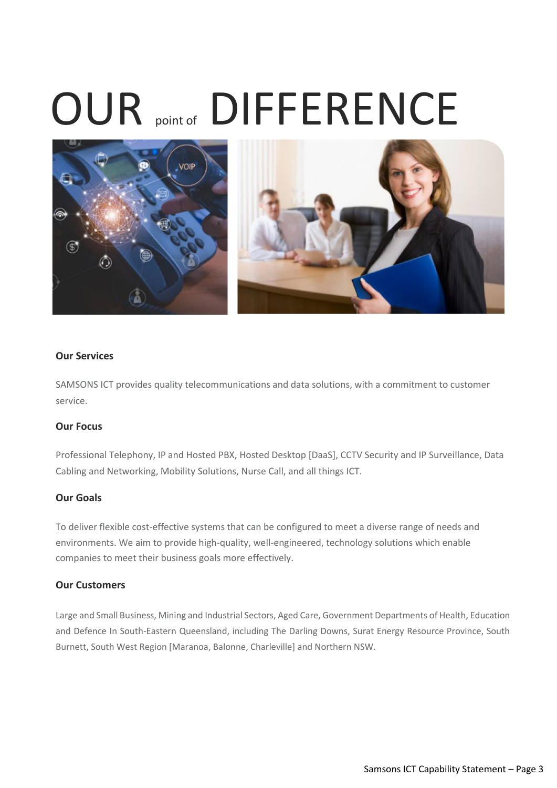### OUR point of DIFFERENCE



### **Our Services**

SAMSONS ICT provides quality telecommunications and data solutions, with a commitment to customer service.

### **Our Focus**

Professional Telephony, IP and Hosted PBX, Hosted Desktop [DaaS], CCTV Security and IP Surveillance, Data Cabling and Networking, Mobility Solutions, Nurse Call, and all things ICT.

### **Our Goals**

To deliver flexible cost-effective systems that can be configured to meet a diverse range of needs and environments. We aim to provide high-quality, well-engineered, technology solutions which enable companies to meet their business goals more effectively.

### **Our Customers**

Large and Small Business, Mining and Industrial Sectors, Aged Care, Government Departments of Health, Education and Defence In South-Eastern Queensland, including The Darling Downs, Surat Energy Resource Province, South Burnett, South West Region [Maranoa, Balonne, Charleville] and Northern NSW.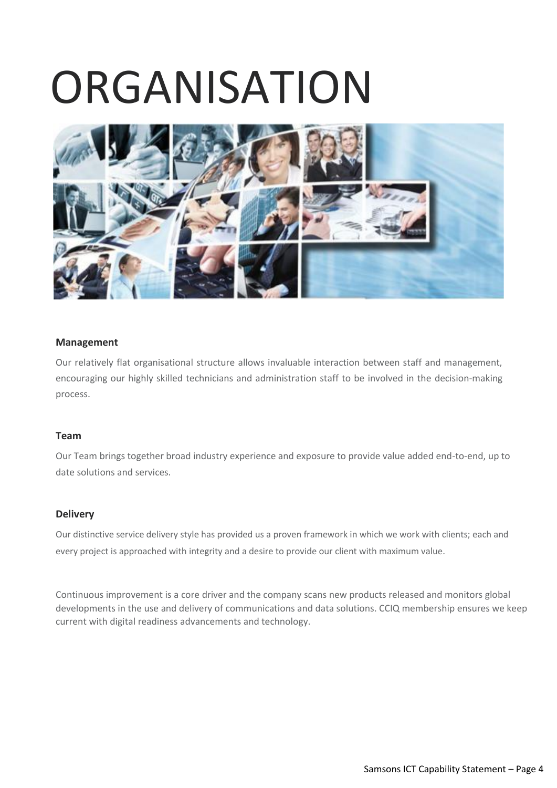### **ORGANISATION**



### **Management**

Our relatively flat organisational structure allows invaluable interaction between staff and management, encouraging our highly skilled technicians and administration staff to be involved in the decision-making process.

### **Team**

Our Team brings together broad industry experience and exposure to provide value added end-to-end, up to date solutions and services.

### **Delivery**

Our distinctive service delivery style has provided us a proven framework in which we work with clients; each and every project is approached with integrity and a desire to provide our client with maximum value.

Continuous improvement is a core driver and the company scans new products released and monitors global developments in the use and delivery of communications and data solutions. CCIQ membership ensures we keep current with digital readiness advancements and technology.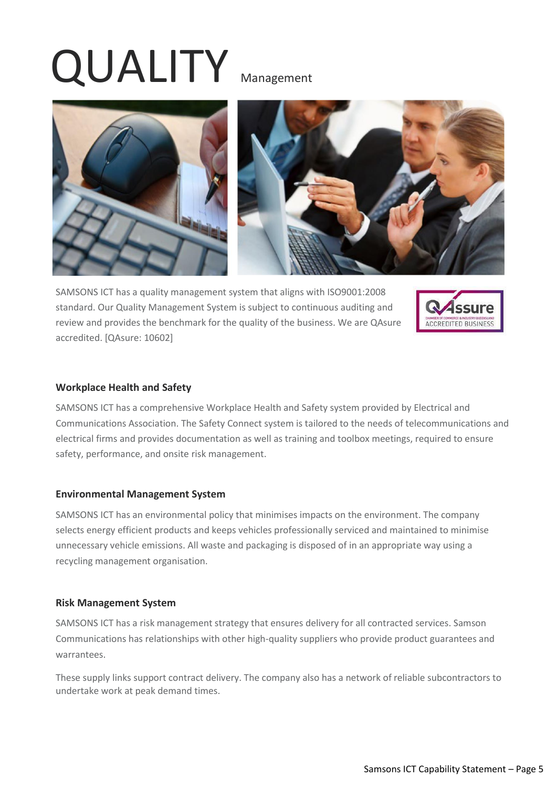## QUALITY Management





SAMSONS ICT has a quality management system that aligns with ISO9001:2008 standard. Our Quality Management System is subject to continuous auditing and review and provides the benchmark for the quality of the business. We are QAsure accredited. [QAsure: 10602]



### **Workplace Health and Safety**

SAMSONS ICT has a comprehensive Workplace Health and Safety system provided by Electrical and Communications Association. The Safety Connect system is tailored to the needs of telecommunications and electrical firms and provides documentation as well as training and toolbox meetings, required to ensure safety, performance, and onsite risk management.

### **Environmental Management System**

SAMSONS ICT has an environmental policy that minimises impacts on the environment. The company selects energy efficient products and keeps vehicles professionally serviced and maintained to minimise unnecessary vehicle emissions. All waste and packaging is disposed of in an appropriate way using a recycling management organisation.

### **Risk Management System**

SAMSONS ICT has a risk management strategy that ensures delivery for all contracted services. Samson Communications has relationships with other high-quality suppliers who provide product guarantees and warrantees.

These supply links support contract delivery. The company also has a network of reliable subcontractors to undertake work at peak demand times.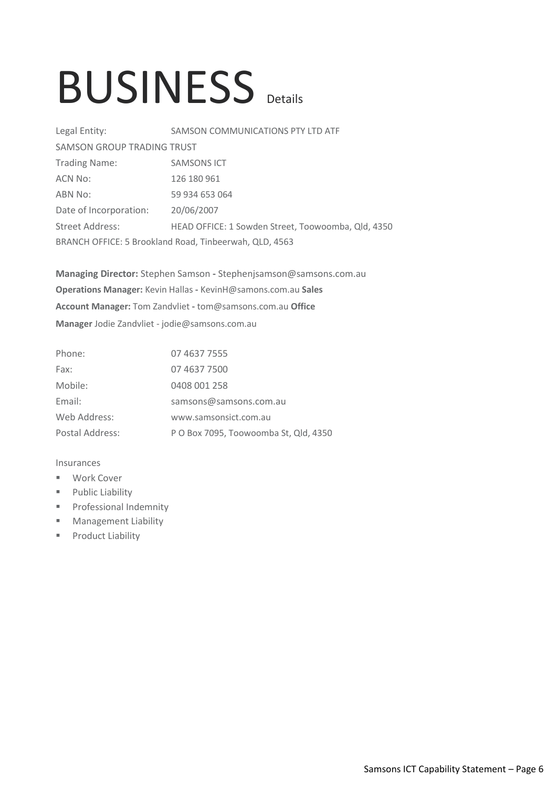### BUSINESS Details

| Legal Entity:                                          | SAMSON COMMUNICATIONS PTY LTD ATF                  |  |
|--------------------------------------------------------|----------------------------------------------------|--|
| <b>SAMSON GROUP TRADING TRUST</b>                      |                                                    |  |
| <b>Trading Name:</b>                                   | <b>SAMSONS ICT</b>                                 |  |
| ACN No:                                                | 126 180 961                                        |  |
| ABN No:                                                | 59 934 653 064                                     |  |
| Date of Incorporation:                                 | 20/06/2007                                         |  |
| Street Address:                                        | HEAD OFFICE: 1 Sowden Street, Toowoomba, Qld, 4350 |  |
| BRANCH OFFICE: 5 Brookland Road, Tinbeerwah, QLD, 4563 |                                                    |  |

**Managing Director:** Stephen Samson **-** Stephenjsamson@samsons.com.au **Operations Manager:** Kevin Hallas **-** KevinH@samons.com.au **Sales Account Manager:** Tom Zandvliet **-** tom@samsons.com.au **Office Manager** Jodie Zandvliet - jodie@samsons.com.au

| Phone:          | 07 4637 7555                          |
|-----------------|---------------------------------------|
| Fax:            | 07 4637 7500                          |
| Mobile:         | 0408 001 258                          |
| Email:          | samsons@samsons.com.au                |
| Web Address:    | www.samsonsict.com.au                 |
| Postal Address: | P O Box 7095, Toowoomba St, Qld, 4350 |

### Insurances

- Work Cover
- Public Liability
- **•** Professional Indemnity
- Management Liability
- Product Liability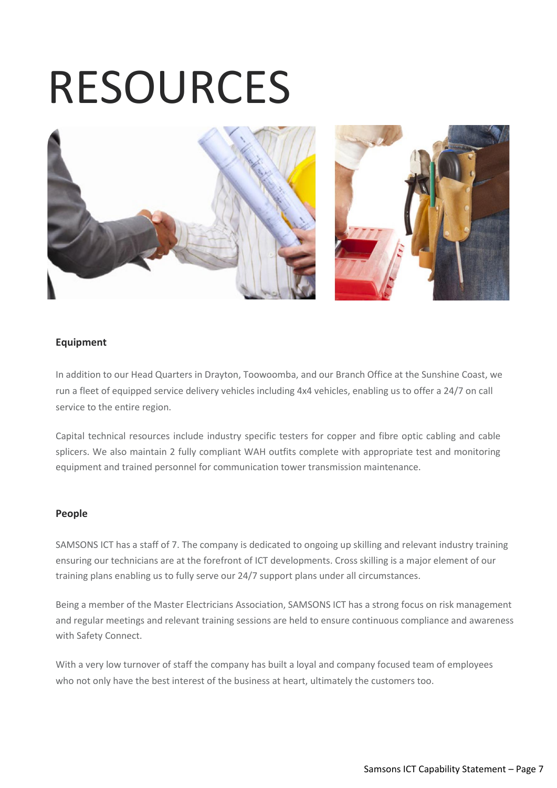### RESOURCES



### **Equipment**

In addition to our Head Quarters in Drayton, Toowoomba, and our Branch Office at the Sunshine Coast, we run a fleet of equipped service delivery vehicles including 4x4 vehicles, enabling us to offer a 24/7 on call service to the entire region.

Capital technical resources include industry specific testers for copper and fibre optic cabling and cable splicers. We also maintain 2 fully compliant WAH outfits complete with appropriate test and monitoring equipment and trained personnel for communication tower transmission maintenance.

### **People**

SAMSONS ICT has a staff of 7. The company is dedicated to ongoing up skilling and relevant industry training ensuring our technicians are at the forefront of ICT developments. Cross skilling is a major element of our training plans enabling us to fully serve our 24/7 support plans under all circumstances.

Being a member of the Master Electricians Association, SAMSONS ICT has a strong focus on risk management and regular meetings and relevant training sessions are held to ensure continuous compliance and awareness with Safety Connect.

With a very low turnover of staff the company has built a loyal and company focused team of employees who not only have the best interest of the business at heart, ultimately the customers too.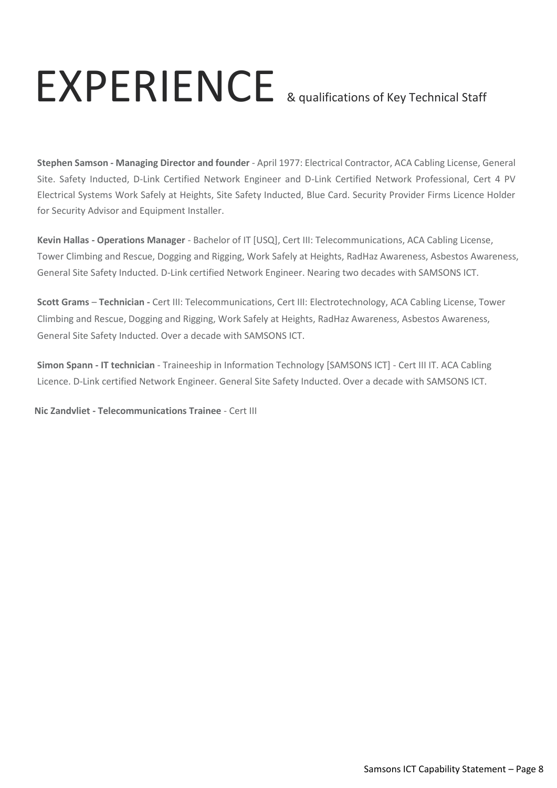### EXPERIENCE & qualifications of Key Technical Staff

**Stephen Samson - Managing Director and founder** - April 1977: Electrical Contractor, ACA Cabling License, General Site. Safety Inducted, D-Link Certified Network Engineer and D-Link Certified Network Professional, Cert 4 PV Electrical Systems Work Safely at Heights, Site Safety Inducted, Blue Card. Security Provider Firms Licence Holder for Security Advisor and Equipment Installer.

**Kevin Hallas - Operations Manager** - Bachelor of IT [USQ], Cert III: Telecommunications, ACA Cabling License, Tower Climbing and Rescue, Dogging and Rigging, Work Safely at Heights, RadHaz Awareness, Asbestos Awareness, General Site Safety Inducted. D-Link certified Network Engineer. Nearing two decades with SAMSONS ICT.

**Scott Grams** – **Technician -** Cert III: Telecommunications, Cert III: Electrotechnology, ACA Cabling License, Tower Climbing and Rescue, Dogging and Rigging, Work Safely at Heights, RadHaz Awareness, Asbestos Awareness, General Site Safety Inducted. Over a decade with SAMSONS ICT.

**Simon Spann - IT technician** - Traineeship in Information Technology [SAMSONS ICT] - Cert III IT. ACA Cabling Licence. D-Link certified Network Engineer. General Site Safety Inducted. Over a decade with SAMSONS ICT.

**Nic Zandvliet - Telecommunications Trainee** - Cert III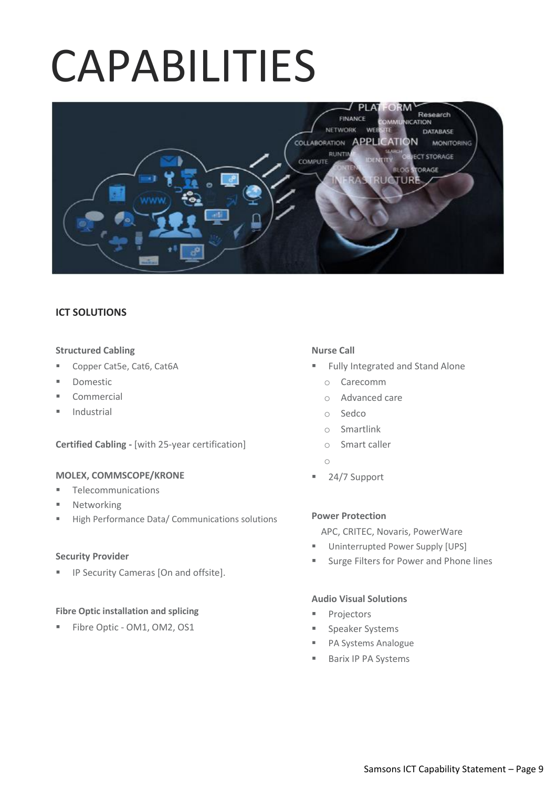### CAPABILITIES



### **ICT SOLUTIONS**

### **Structured Cabling**

- Copper Cat5e, Cat6, Cat6A
- **Domestic** ×
- Commercial Ĩ
- Industrial

**Certified Cabling -** [with 25-year certification]

### **MOLEX, COMMSCOPE/KRONE**

- **■** Telecommunications
- Networking
- High Performance Data/ Communications solutions

### **Security Provider**

**■** IP Security Cameras [On and offsite].

### **Fibre Optic installation and splicing**

■ Fibre Optic - OM1, OM2, OS1

### **Nurse Call**

- Fully Integrated and Stand Alone
	- o Carecomm
	- o Advanced care
	- o Sedco
	- o Smartlink
	- o Smart caller
	- o
- 24/7 Support

### **Power Protection**

APC, CRITEC, Novaris, PowerWare

- Uninterrupted Power Supply [UPS] Ĩ
- Surge Filters for Power and Phone lines

### **Audio Visual Solutions**

- Projectors Ĩ
- Speaker Systems j
- PA Systems Analogue
- Barix IP PA Systems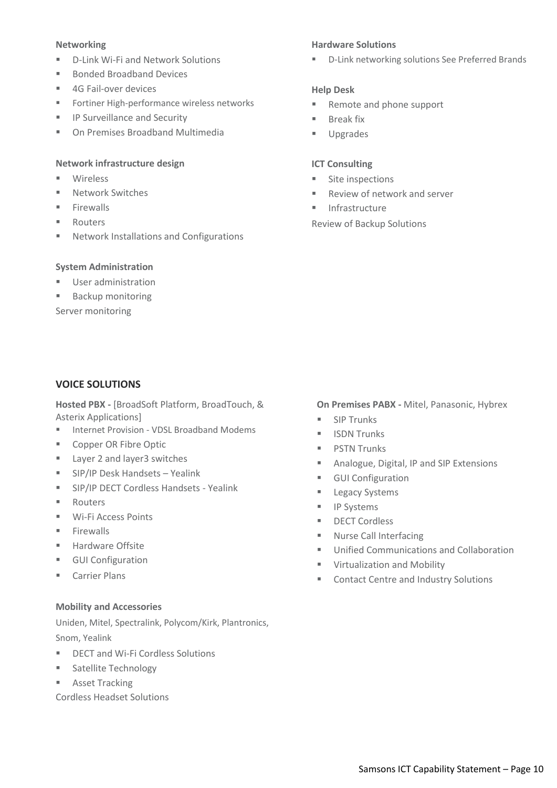### **Networking**

- D-Link Wi-Fi and Network Solutions  $\mathbf{r}$  .
- **Bonded Broadband Devices**  $\mathbf{r}$
- 4G Fail-over devices
- Fortiner High-performance wireless networks
- **IP Surveillance and Security**
- On Premises Broadband Multimedia

### **Network infrastructure design**

- **Wireless**  $\mathbf{r}$
- Network Switches  $\mathbf{r}$
- Firewalls
- Routers
- Network Installations and Configurations

### **System Administration**

- User administration
- Backup monitoring

Server monitoring

### **Hardware Solutions**

■ D-Link networking solutions See Preferred Brands

### **Help Desk**

- Remote and phone support
- **Break fix**  $\mathbf{r}$  .
- Upgrades

### **ICT Consulting**

- Site inspections Ĩ
- Review of network and server j
- **Infrastructure** j

Review of Backup Solutions

### **VOICE SOLUTIONS**

**Hosted PBX -** [BroadSoft Platform, BroadTouch, & Asterix Applications]

- Internet Provision VDSL Broadband Modems
- Copper OR Fibre Optic  $\mathbf{u}$  .
- Layer 2 and layer3 switches
- SIP/IP Desk Handsets Yealink  $\mathbf{u}$  .
- **■** SIP/IP DECT Cordless Handsets Yealink
- **Routers**  $\blacksquare$
- Wi-Fi Access Points  $\mathbf{u}$  .
- **Firewalls**  $\mathbf{r}$  .
- Hardware Offsite
- **■** GUI Configuration
- **Carrier Plans**

### **Mobility and Accessories**

Uniden, Mitel, Spectralink, Polycom/Kirk, Plantronics, Snom, Yealink

- DECT and Wi-Fi Cordless Solutions
- Satellite Technology
- Asset Tracking

Cordless Headset Solutions

### **On Premises PABX -** Mitel, Panasonic, Hybrex

- **SIP Trunks**  $\blacksquare$
- ISDN Trunks
- PSTN Trunks
- Analogue, Digital, IP and SIP Extensions  $\mathbf{r}$
- **GUI Configuration** a.
- **Legacy Systems**  $\blacksquare$
- IP Systems
- DECT Cordless  $\mathbf{u}$  .
- Nurse Call Interfacing
- Unified Communications and Collaboration
- Virtualization and Mobility
- Contact Centre and Industry Solutions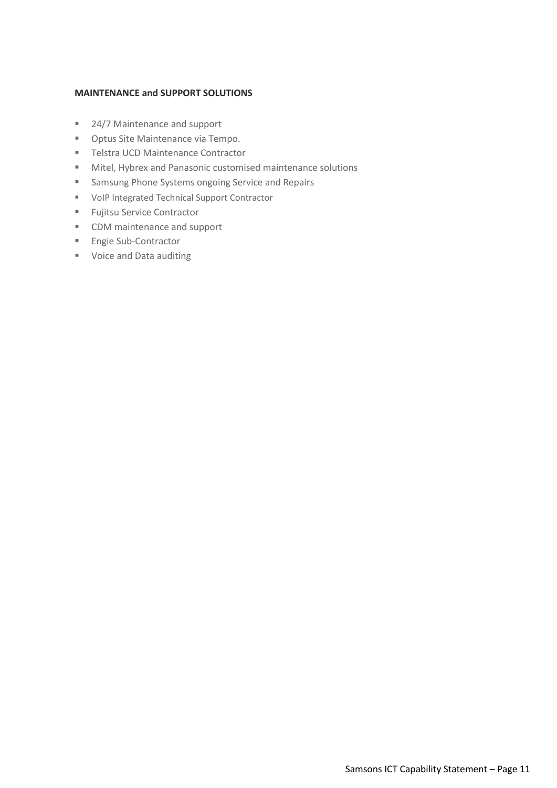### **MAINTENANCE and SUPPORT SOLUTIONS**

- 24/7 Maintenance and support
- Optus Site Maintenance via Tempo.
- Telstra UCD Maintenance Contractor
- Mitel, Hybrex and Panasonic customised maintenance solutions
- Samsung Phone Systems ongoing Service and Repairs
- VoIP Integrated Technical Support Contractor
- Fujitsu Service Contractor
- CDM maintenance and support
- Engie Sub-Contractor
- Voice and Data auditing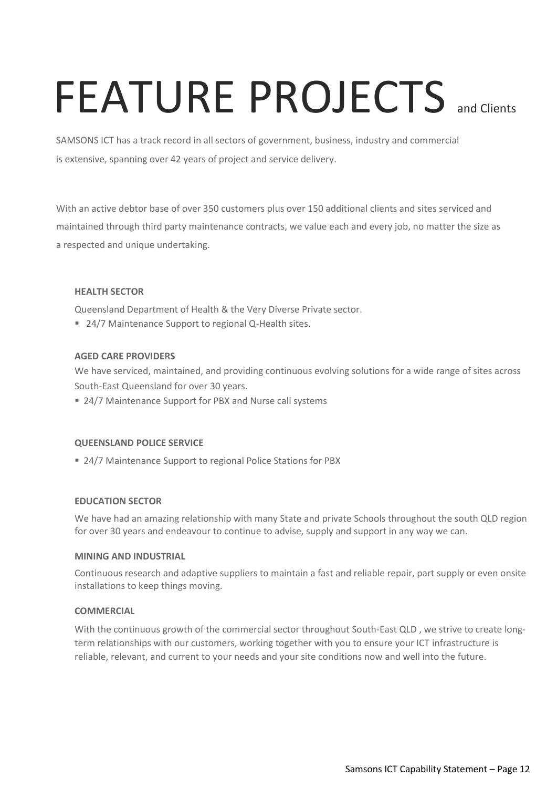### FEATURE PROJECTS and Clients

SAMSONS ICT has a track record in all sectors of government, business, industry and commercial is extensive, spanning over 42 years of project and service delivery.

With an active debtor base of over 350 customers plus over 150 additional clients and sites serviced and maintained through third party maintenance contracts, we value each and every job, no matter the size as a respected and unique undertaking.

### **HEALTH SECTOR**

Queensland Department of Health & the Very Diverse Private sector.

■ 24/7 Maintenance Support to regional Q-Health sites.

### **AGED CARE PROVIDERS**

We have serviced, maintained, and providing continuous evolving solutions for a wide range of sites across South-East Queensland for over 30 years.

■ 24/7 Maintenance Support for PBX and Nurse call systems

### **QUEENSLAND POLICE SERVICE**

■ 24/7 Maintenance Support to regional Police Stations for PBX

### **EDUCATION SECTOR**

We have had an amazing relationship with many State and private Schools throughout the south QLD region for over 30 years and endeavour to continue to advise, supply and support in any way we can.

### **MINING AND INDUSTRIAL**

Continuous research and adaptive suppliers to maintain a fast and reliable repair, part supply or even onsite installations to keep things moving.

### **COMMERCIAL**

With the continuous growth of the commercial sector throughout South-East QLD, we strive to create longterm relationships with our customers, working together with you to ensure your ICT infrastructure is reliable, relevant, and current to your needs and your site conditions now and well into the future.